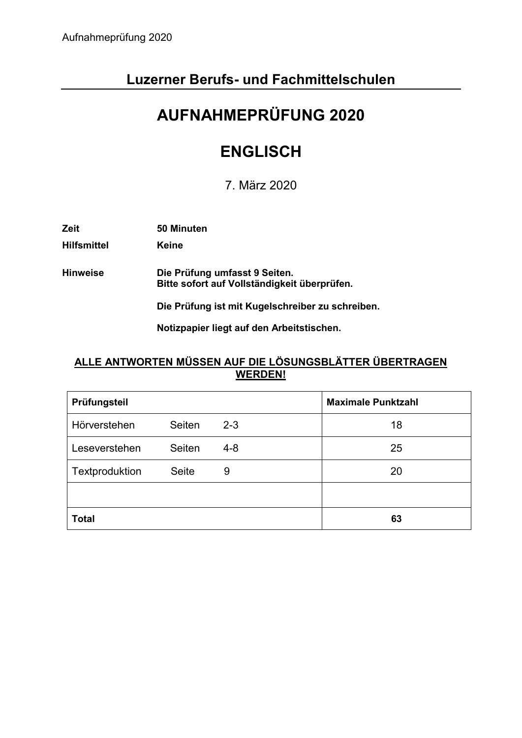# **Luzerner Berufs- und Fachmittelschulen**

# **AUFNAHMEPRÜFUNG 2020**

# **ENGLISCH**

7. März 2020

| Zeit | 50 Minuten |
|------|------------|
|      |            |

**Hilfsmittel Keine**

**Hinweise Die Prüfung umfasst 9 Seiten. Bitte sofort auf Vollständigkeit überprüfen.**

**Die Prüfung ist mit Kugelschreiber zu schreiben.**

**Notizpapier liegt auf den Arbeitstischen.**

## **ALLE ANTWORTEN MÜSSEN AUF DIE LÖSUNGSBLÄTTER ÜBERTRAGEN WERDEN!**

| Prüfungsteil        |              |         | <b>Maximale Punktzahl</b> |
|---------------------|--------------|---------|---------------------------|
| <b>Hörverstehen</b> | Seiten       | $2 - 3$ | 18                        |
| Leseverstehen       | Seiten       | $4 - 8$ | 25                        |
| Textproduktion      | <b>Seite</b> | 9       | 20                        |
|                     |              |         |                           |
| <b>Total</b>        |              |         | 63                        |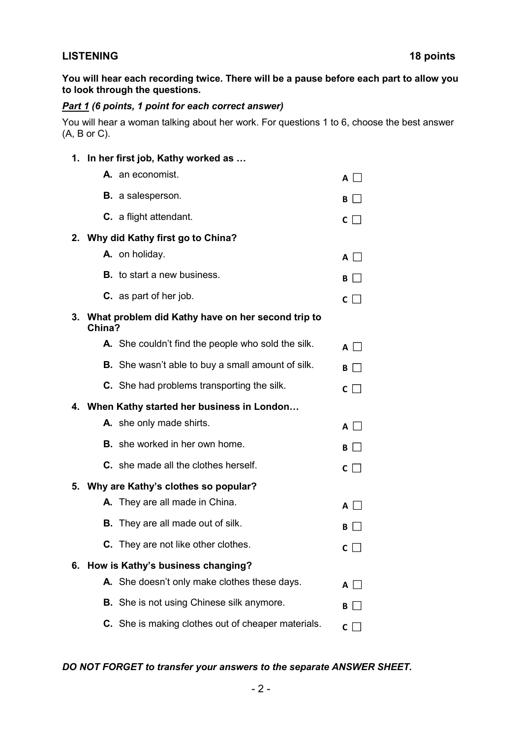#### **LISTENING 18 points**

**You will hear each recording twice. There will be a pause before each part to allow you to look through the questions.**

## *Part 1 (6 points, 1 point for each correct answer)*

You will hear a woman talking about her work. For questions 1 to 6, choose the best answer (A, B or C).

#### **1. In her first job, Kathy worked as …**

|    | A. an economist.                                            | $\mathsf{A}$        |  |
|----|-------------------------------------------------------------|---------------------|--|
|    | <b>B.</b> a salesperson.                                    | BI.                 |  |
|    | <b>C.</b> a flight attendant.                               | $\mathsf{C}$ $\Box$ |  |
|    | 2. Why did Kathy first go to China?                         |                     |  |
|    | A. on holiday.                                              | $A$ $\Box$          |  |
|    | <b>B.</b> to start a new business.                          | В                   |  |
|    | <b>C.</b> as part of her job.                               | $\mathsf{C}$        |  |
| 3. | What problem did Kathy have on her second trip to<br>China? |                     |  |
|    | A. She couldn't find the people who sold the silk.          | $A$ $\vdash$        |  |
|    | <b>B.</b> She wasn't able to buy a small amount of silk.    | B                   |  |
|    | <b>C.</b> She had problems transporting the silk.           | $\mathsf{C}$        |  |
|    | 4. When Kathy started her business in London                |                     |  |
|    | A. she only made shirts.                                    | $A \Box$            |  |
|    | <b>B.</b> she worked in her own home.                       | В                   |  |
|    | <b>C.</b> she made all the clothes herself.                 | $C \mid \square$    |  |
| 5. | Why are Kathy's clothes so popular?                         |                     |  |
|    | A. They are all made in China.                              | $A \mid$            |  |
|    | <b>B.</b> They are all made out of silk.                    | В                   |  |
|    | <b>C.</b> They are not like other clothes.                  | C                   |  |
| 6. | How is Kathy's business changing?                           |                     |  |
|    | A. She doesn't only make clothes these days.                | $A \perp^-$         |  |
|    | <b>B.</b> She is not using Chinese silk anymore.            | В                   |  |
|    | C. She is making clothes out of cheaper materials.          | C I                 |  |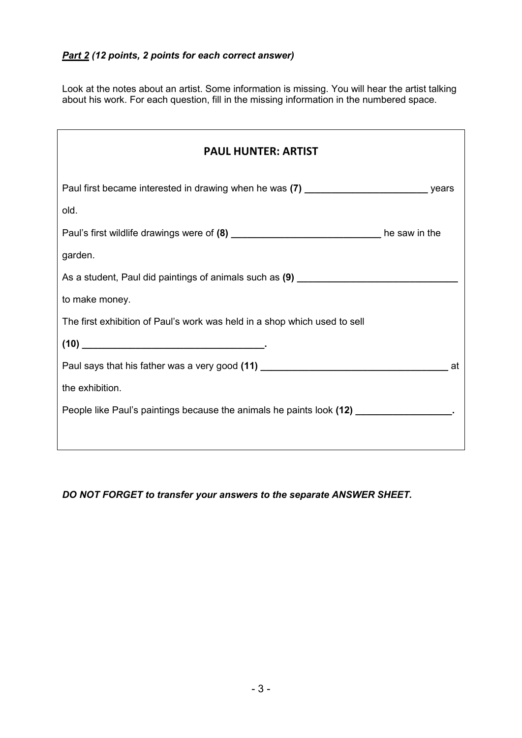Look at the notes about an artist. Some information is missing. You will hear the artist talking about his work. For each question, fill in the missing information in the numbered space.

| <b>PAUL HUNTER: ARTIST</b>                                                                                                                                                                                                                                                                                                                        |    |
|---------------------------------------------------------------------------------------------------------------------------------------------------------------------------------------------------------------------------------------------------------------------------------------------------------------------------------------------------|----|
| Paul first became interested in drawing when he was (7) _________________________ years                                                                                                                                                                                                                                                           |    |
| old.                                                                                                                                                                                                                                                                                                                                              |    |
| Paul's first wildlife drawings were of (8) _________________________________he saw in the                                                                                                                                                                                                                                                         |    |
| garden.                                                                                                                                                                                                                                                                                                                                           |    |
| As a student, Paul did paintings of animals such as (9) ________________________                                                                                                                                                                                                                                                                  |    |
| to make money.                                                                                                                                                                                                                                                                                                                                    |    |
| The first exhibition of Paul's work was held in a shop which used to sell                                                                                                                                                                                                                                                                         |    |
| $(10) \begin{picture}(20,20)(-0.0) \put(0,0){\line(1,0){10}} \put(10,0){\line(1,0){10}} \put(10,0){\line(1,0){10}} \put(10,0){\line(1,0){10}} \put(10,0){\line(1,0){10}} \put(10,0){\line(1,0){10}} \put(10,0){\line(1,0){10}} \put(10,0){\line(1,0){10}} \put(10,0){\line(1,0){10}} \put(10,0){\line(1,0){10}} \put(10,0){\line(1,0){10}} \put($ |    |
| Paul says that his father was a very good (11) _________________________________                                                                                                                                                                                                                                                                  | at |
| the exhibition.                                                                                                                                                                                                                                                                                                                                   |    |
| People like Paul's paintings because the animals he paints look (12) ___________________.                                                                                                                                                                                                                                                         |    |
|                                                                                                                                                                                                                                                                                                                                                   |    |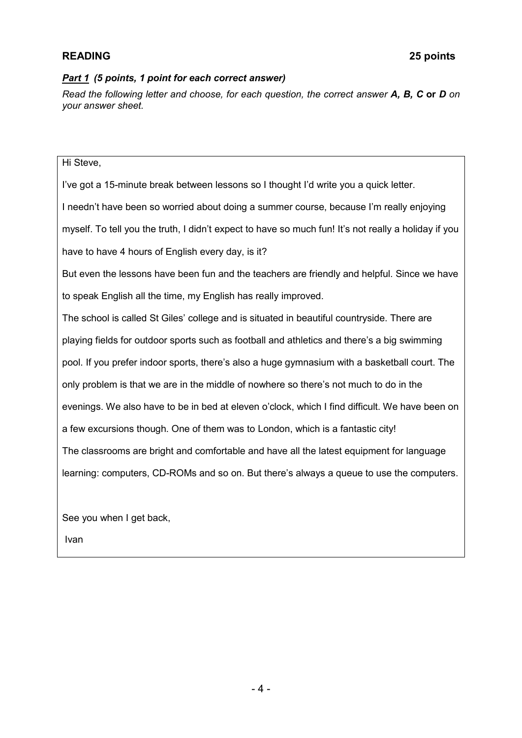#### *Part 1 (5 points, 1 point for each correct answer)*

*Read the following letter and choose, for each question, the correct answer A, B, C* **or** *D on your answer sheet.* 

#### Hi Steve,

I've got a 15-minute break between lessons so I thought I'd write you a quick letter.

I needn't have been so worried about doing a summer course, because I'm really enjoying

myself. To tell you the truth, I didn't expect to have so much fun! It's not really a holiday if you

have to have 4 hours of English every day, is it?

But even the lessons have been fun and the teachers are friendly and helpful. Since we have to speak English all the time, my English has really improved.

The school is called St Giles' college and is situated in beautiful countryside. There are playing fields for outdoor sports such as football and athletics and there's a big swimming pool. If you prefer indoor sports, there's also a huge gymnasium with a basketball court. The only problem is that we are in the middle of nowhere so there's not much to do in the evenings. We also have to be in bed at eleven o'clock, which I find difficult. We have been on a few excursions though. One of them was to London, which is a fantastic city! The classrooms are bright and comfortable and have all the latest equipment for language learning: computers, CD-ROMs and so on. But there's always a queue to use the computers.

See you when I get back,

Ivan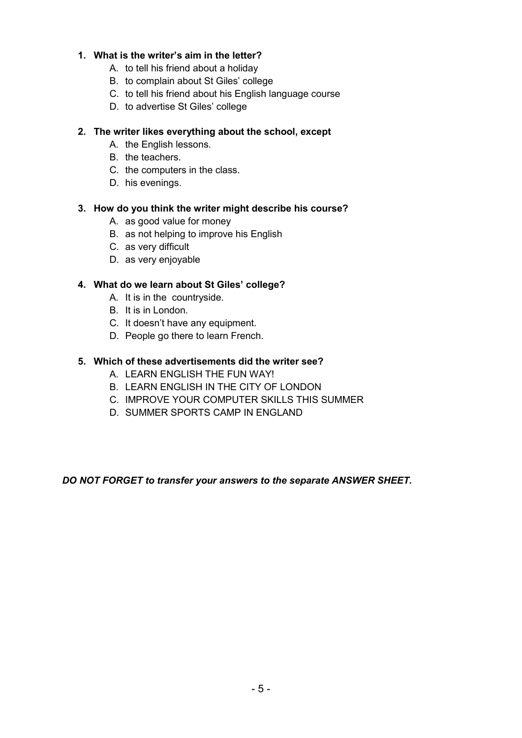#### **1. What is the writer's aim in the letter?**

- A. to tell his friend about a holiday
- B. to complain about St Giles' college
- C. to tell his friend about his English language course
- D. to advertise St Giles' college

#### **2. The writer likes everything about the school, except**

- A. the English lessons.
- B. the teachers.
- C. the computers in the class.
- D. his evenings.

#### **3. How do you think the writer might describe his course?**

- A. as good value for money
- B. as not helping to improve his English
- C. as very difficult
- D. as very enjoyable

#### **4. What do we learn about St Giles' college?**

- A. It is in the countryside.
- B. It is in London.
- C. It doesn't have any equipment.
- D. People go there to learn French.

#### **5. Which of these advertisements did the writer see?**

- A. LEARN ENGLISH THE FUN WAY!
- B. LEARN ENGLISH IN THE CITY OF LONDON
- C. IMPROVE YOUR COMPUTER SKILLS THIS SUMMER
- D. SUMMER SPORTS CAMP IN ENGLAND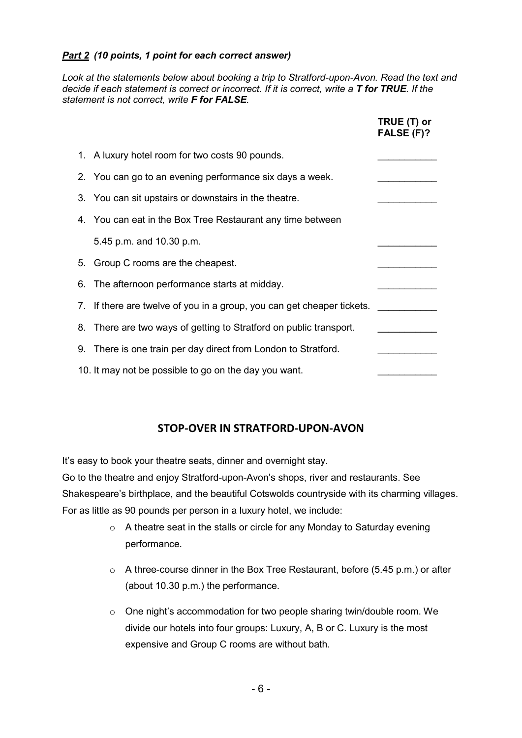#### *Part 2 (10 points, 1 point for each correct answer)*

*Look at the statements below about booking a trip to Stratford-upon-Avon. Read the text and decide if each statement is correct or incorrect. If it is correct, write a T for TRUE. If the statement is not correct, write F for FALSE.* 

|                                                                        | TRUE (T) or<br>FALSE (F)? |
|------------------------------------------------------------------------|---------------------------|
| 1. A luxury hotel room for two costs 90 pounds.                        |                           |
| 2. You can go to an evening performance six days a week.               |                           |
| 3. You can sit upstairs or downstairs in the theatre.                  |                           |
| 4. You can eat in the Box Tree Restaurant any time between             |                           |
| 5.45 p.m. and 10.30 p.m.                                               |                           |
| 5. Group C rooms are the cheapest.                                     |                           |
| 6. The afternoon performance starts at midday.                         |                           |
| 7. If there are twelve of you in a group, you can get cheaper tickets. |                           |
| 8. There are two ways of getting to Stratford on public transport.     |                           |
| 9. There is one train per day direct from London to Stratford.         |                           |
| 10. It may not be possible to go on the day you want.                  |                           |

## **STOP-OVER IN STRATFORD-UPON-AVON**

It's easy to book your theatre seats, dinner and overnight stay.

Go to the theatre and enjoy Stratford-upon-Avon's shops, river and restaurants. See Shakespeare's birthplace, and the beautiful Cotswolds countryside with its charming villages. For as little as 90 pounds per person in a luxury hotel, we include:

- o A theatre seat in the stalls or circle for any Monday to Saturday evening performance.
- o A three-course dinner in the Box Tree Restaurant, before (5.45 p.m.) or after (about 10.30 p.m.) the performance.
- o One night's accommodation for two people sharing twin/double room. We divide our hotels into four groups: Luxury, A, B or C. Luxury is the most expensive and Group C rooms are without bath.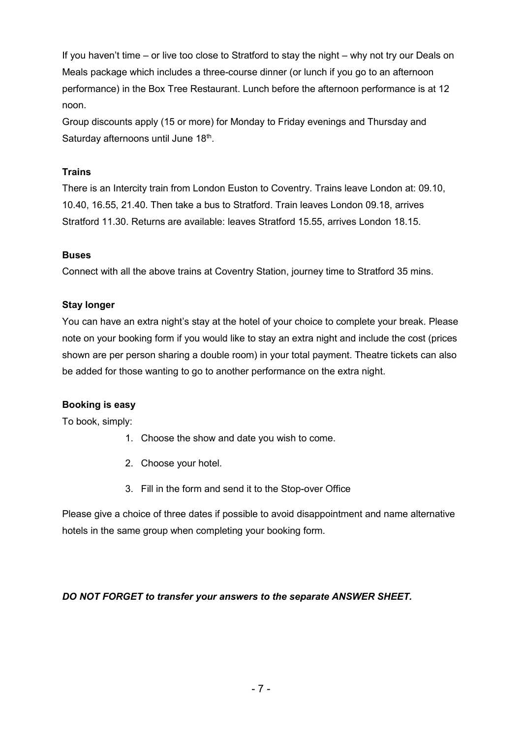If you haven't time – or live too close to Stratford to stay the night – why not try our Deals on Meals package which includes a three-course dinner (or lunch if you go to an afternoon performance) in the Box Tree Restaurant. Lunch before the afternoon performance is at 12 noon.

Group discounts apply (15 or more) for Monday to Friday evenings and Thursday and Saturday afternoons until June 18<sup>th</sup>.

### **Trains**

There is an Intercity train from London Euston to Coventry. Trains leave London at: 09.10, 10.40, 16.55, 21.40. Then take a bus to Stratford. Train leaves London 09.18, arrives Stratford 11.30. Returns are available: leaves Stratford 15.55, arrives London 18.15.

#### **Buses**

Connect with all the above trains at Coventry Station, journey time to Stratford 35 mins.

#### **Stay longer**

You can have an extra night's stay at the hotel of your choice to complete your break. Please note on your booking form if you would like to stay an extra night and include the cost (prices shown are per person sharing a double room) in your total payment. Theatre tickets can also be added for those wanting to go to another performance on the extra night.

#### **Booking is easy**

To book, simply:

- 1. Choose the show and date you wish to come.
- 2. Choose your hotel.
- 3. Fill in the form and send it to the Stop-over Office

Please give a choice of three dates if possible to avoid disappointment and name alternative hotels in the same group when completing your booking form.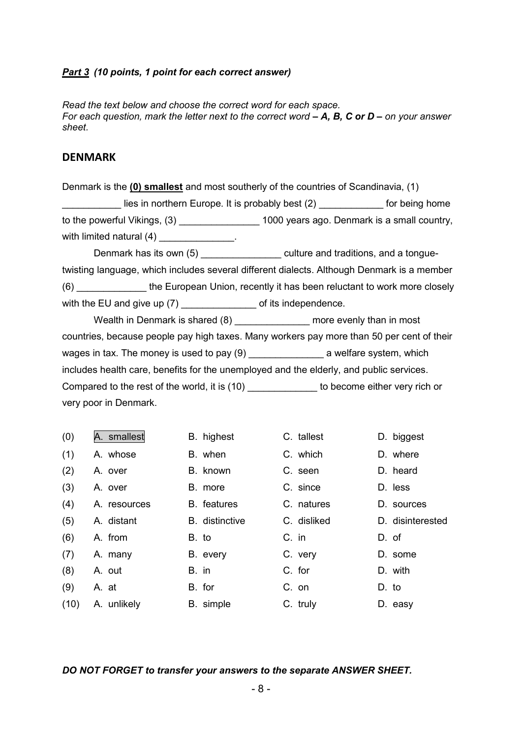#### *Part 3 (10 points, 1 point for each correct answer)*

*Read the text below and choose the correct word for each space. For each question, mark the letter next to the correct word*  $-$  *A, B, C or D – on your answer sheet.*

#### **DENMARK**

| Denmark is the (0) smallest and most southerly of the countries of Scandinavia, (1)        |                                                                                              |  |  |
|--------------------------------------------------------------------------------------------|----------------------------------------------------------------------------------------------|--|--|
|                                                                                            | lies in northern Europe. It is probably best (2) ______________ for being home               |  |  |
|                                                                                            | to the powerful Vikings, (3) ____________________1000 years ago. Denmark is a small country, |  |  |
| with limited natural $(4)$ _______________.                                                |                                                                                              |  |  |
|                                                                                            | Denmark has its own (5) __________________ culture and traditions, and a tongue-             |  |  |
| twisting language, which includes several different dialects. Although Denmark is a member |                                                                                              |  |  |
|                                                                                            | (6) _________________the European Union, recently it has been reluctant to work more closely |  |  |
|                                                                                            |                                                                                              |  |  |
|                                                                                            | Wealth in Denmark is shared (8) _________________ more evenly than in most                   |  |  |
| countries, because people pay high taxes. Many workers pay more than 50 per cent of their  |                                                                                              |  |  |
|                                                                                            |                                                                                              |  |  |
| includes health care, benefits for the unemployed and the elderly, and public services.    |                                                                                              |  |  |
|                                                                                            |                                                                                              |  |  |

Compared to the rest of the world, it is (10) \_\_\_\_\_\_\_\_\_\_\_\_\_\_ to become either very rich or very poor in Denmark.

| (0)  | A. smallest  | B. highest            | C. tallest  | D. biggest       |
|------|--------------|-----------------------|-------------|------------------|
| (1)  | A. whose     | B. when               | C. which    | D. where         |
| (2)  | A. over      | B. known              | C. seen     | D. heard         |
| (3)  | A. over      | B. more               | C. since    | D. less          |
| (4)  | A. resources | <b>B.</b> features    | C. natures  | D. sources       |
| (5)  | A. distant   | <b>B.</b> distinctive | C. disliked | D. disinterested |
| (6)  | A. from      | B. to                 | C. in       | D. of            |
| (7)  | A. many      | B. every              | C. very     | D. some          |
| (8)  | A. out       | B. in                 | C. for      | D. with          |
| (9)  | A. at        | B. for                | C. on       | D. to            |
| (10) | A. unlikely  | B. simple             | C. truly    | D. easy          |